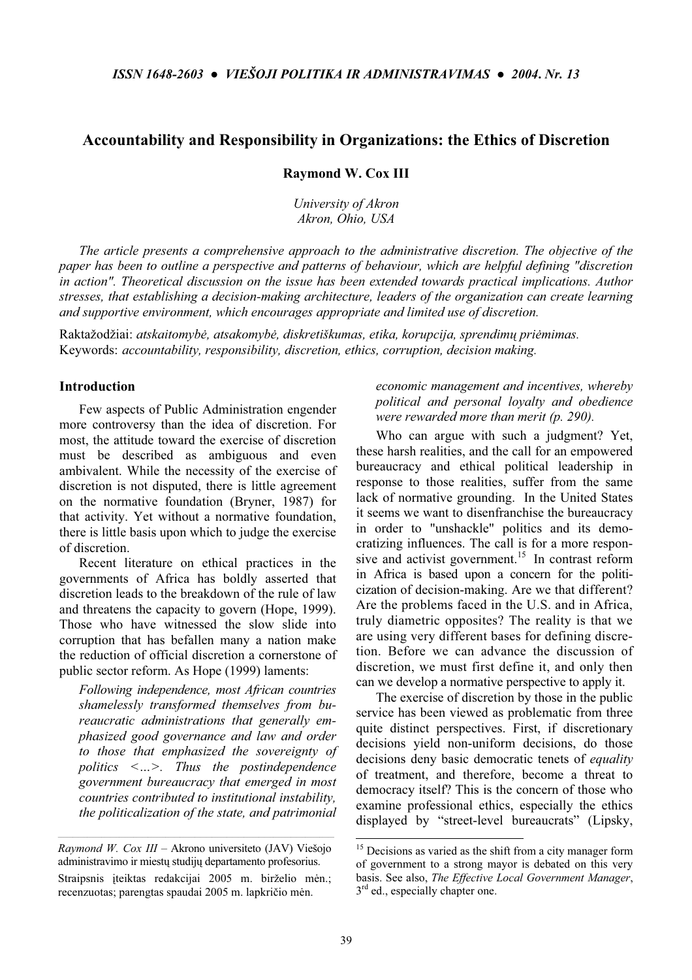# Accountability and Responsibility in Organizations: the Ethics of Discretion

Raymond W. Cox III

University of Akron Akron, Ohio, USA

The article presents a comprehensive approach to the administrative discretion. The objective of the paper has been to outline a perspective and patterns of behaviour, which are helpful defining "discretion in action". Theoretical discussion on the issue has been extended towards practical implications. Author stresses, that establishing a decision-making architecture, leaders of the organization can create learning and supportive environment, which encourages appropriate and limited use of discretion.

Raktažodžiai: atskaitomybė, atsakomybė, diskretiškumas, etika, korupcija, sprendimų priėmimas. Keywords: accountability, responsibility, discretion, ethics, corruption, decision making.

#### Introduction

Few aspects of Public Administration engender more controversy than the idea of discretion. For most, the attitude toward the exercise of discretion must be described as ambiguous and even ambivalent. While the necessity of the exercise of discretion is not disputed, there is little agreement on the normative foundation (Bryner, 1987) for that activity. Yet without a normative foundation, there is little basis upon which to judge the exercise of discretion.

Recent literature on ethical practices in the governments of Africa has boldly asserted that discretion leads to the breakdown of the rule of law and threatens the capacity to govern (Hope, 1999). Those who have witnessed the slow slide into corruption that has befallen many a nation make the reduction of official discretion a cornerstone of public sector reform. As Hope (1999) laments:

Following independence, most African countries shamelessly transformed themselves from bureaucratic administrations that generally emphasized good governance and law and order to those that emphasized the sovereignty of politics <…>. Thus the postindependence government bureaucracy that emerged in most countries contributed to institutional instability, the politicalization of the state, and patrimonial

### economic management and incentives, whereby political and personal loyalty and obedience were rewarded more than merit (p. 290).

Who can argue with such a judgment? Yet, these harsh realities, and the call for an empowered bureaucracy and ethical political leadership in response to those realities, suffer from the same lack of normative grounding. In the United States it seems we want to disenfranchise the bureaucracy in order to "unshackle" politics and its democratizing influences. The call is for a more responsive and activist government.<sup>15</sup> In contrast reform in Africa is based upon a concern for the politicization of decision-making. Are we that different? Are the problems faced in the U.S. and in Africa, truly diametric opposites? The reality is that we are using very different bases for defining discretion. Before we can advance the discussion of discretion, we must first define it, and only then can we develop a normative perspective to apply it.

The exercise of discretion by those in the public service has been viewed as problematic from three quite distinct perspectives. First, if discretionary decisions yield non-uniform decisions, do those decisions deny basic democratic tenets of *equality* of treatment, and therefore, become a threat to democracy itself? This is the concern of those who examine professional ethics, especially the ethics displayed by "street-level bureaucrats" (Lipsky,

-

Raymond W. Cox III – Akrono universiteto (JAV) Viešojo administravimo ir miestų studijų departamento profesorius. Straipsnis iteiktas redakcijai 2005 m. birželio mėn.; recenzuotas; parengtas spaudai 2005 m. lapkričio mėn.

<sup>&</sup>lt;sup>15</sup> Decisions as varied as the shift from a city manager form of government to a strong mayor is debated on this very basis. See also, The Effective Local Government Manager,  $3<sup>rd</sup>$  ed., especially chapter one.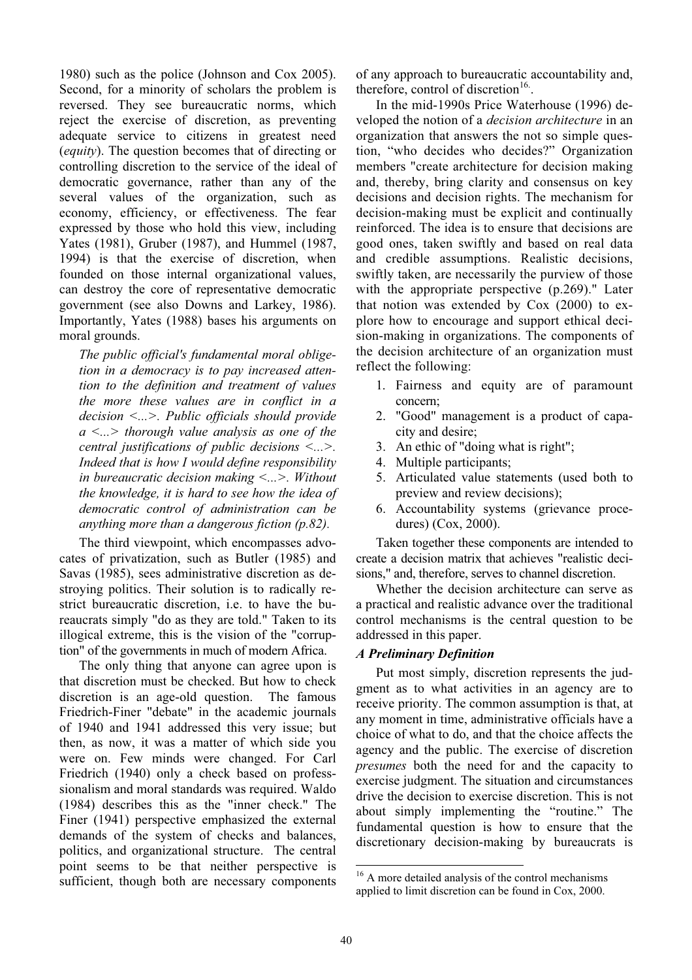1980) such as the police (Johnson and Cox 2005). Second, for a minority of scholars the problem is reversed. They see bureaucratic norms, which reject the exercise of discretion, as preventing adequate service to citizens in greatest need (equity). The question becomes that of directing or controlling discretion to the service of the ideal of democratic governance, rather than any of the several values of the organization, such as economy, efficiency, or effectiveness. The fear expressed by those who hold this view, including Yates (1981), Gruber (1987), and Hummel (1987, 1994) is that the exercise of discretion, when founded on those internal organizational values, can destroy the core of representative democratic government (see also Downs and Larkey, 1986). Importantly, Yates (1988) bases his arguments on moral grounds.

The public official's fundamental moral obligetion in a democracy is to pay increased attention to the definition and treatment of values the more these values are in conflict in a decision <...>. Public officials should provide  $a \leq n >$  thorough value analysis as one of the central justifications of public decisions <...>. Indeed that is how I would define responsibility in bureaucratic decision making <...>. Without the knowledge, it is hard to see how the idea of democratic control of administration can be anything more than a dangerous fiction (p.82).

The third viewpoint, which encompasses advocates of privatization, such as Butler (1985) and Savas (1985), sees administrative discretion as destroying politics. Their solution is to radically restrict bureaucratic discretion, i.e. to have the bureaucrats simply "do as they are told." Taken to its illogical extreme, this is the vision of the "corruption" of the governments in much of modern Africa.

The only thing that anyone can agree upon is that discretion must be checked. But how to check discretion is an age-old question. The famous Friedrich-Finer "debate" in the academic journals of 1940 and 1941 addressed this very issue; but then, as now, it was a matter of which side you were on. Few minds were changed. For Carl Friedrich (1940) only a check based on professsionalism and moral standards was required. Waldo (1984) describes this as the "inner check." The Finer (1941) perspective emphasized the external demands of the system of checks and balances, politics, and organizational structure. The central point seems to be that neither perspective is sufficient, though both are necessary components

of any approach to bureaucratic accountability and, therefore, control of discretion $16$ .

In the mid-1990s Price Waterhouse (1996) developed the notion of a decision architecture in an organization that answers the not so simple question, "who decides who decides?" Organization members "create architecture for decision making and, thereby, bring clarity and consensus on key decisions and decision rights. The mechanism for decision-making must be explicit and continually reinforced. The idea is to ensure that decisions are good ones, taken swiftly and based on real data and credible assumptions. Realistic decisions, swiftly taken, are necessarily the purview of those with the appropriate perspective (p.269)." Later that notion was extended by Cox (2000) to explore how to encourage and support ethical decision-making in organizations. The components of the decision architecture of an organization must reflect the following:

- 1. Fairness and equity are of paramount concern;
- 2. "Good" management is a product of capacity and desire;
- 3. An ethic of "doing what is right";
- 4. Multiple participants;
- 5. Articulated value statements (used both to preview and review decisions);
- 6. Accountability systems (grievance procedures) (Cox, 2000).

Taken together these components are intended to create a decision matrix that achieves "realistic decisions," and, therefore, serves to channel discretion.

Whether the decision architecture can serve as a practical and realistic advance over the traditional control mechanisms is the central question to be addressed in this paper.

## A Preliminary Definition

Put most simply, discretion represents the judgment as to what activities in an agency are to receive priority. The common assumption is that, at any moment in time, administrative officials have a choice of what to do, and that the choice affects the agency and the public. The exercise of discretion presumes both the need for and the capacity to exercise judgment. The situation and circumstances drive the decision to exercise discretion. This is not about simply implementing the "routine." The fundamental question is how to ensure that the discretionary decision-making by bureaucrats is

<sup>-</sup><sup>16</sup> A more detailed analysis of the control mechanisms applied to limit discretion can be found in Cox, 2000.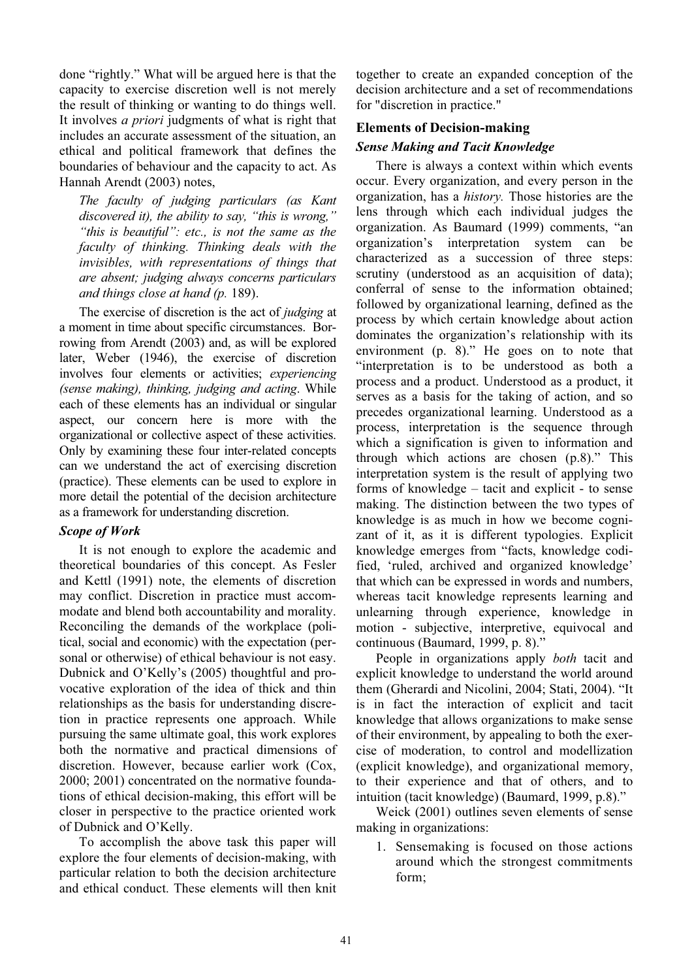done "rightly." What will be argued here is that the capacity to exercise discretion well is not merely the result of thinking or wanting to do things well. It involves *a priori* judgments of what is right that includes an accurate assessment of the situation, an ethical and political framework that defines the boundaries of behaviour and the capacity to act. As Hannah Arendt (2003) notes,

The faculty of judging particulars (as Kant discovered it), the ability to say, "this is wrong," "this is beautiful": etc., is not the same as the faculty of thinking. Thinking deals with the invisibles, with representations of things that are absent; judging always concerns particulars and things close at hand (p. 189).

The exercise of discretion is the act of *judging* at a moment in time about specific circumstances. Borrowing from Arendt (2003) and, as will be explored later, Weber (1946), the exercise of discretion involves four elements or activities; experiencing (sense making), thinking, judging and acting. While each of these elements has an individual or singular aspect, our concern here is more with the organizational or collective aspect of these activities. Only by examining these four inter-related concepts can we understand the act of exercising discretion (practice). These elements can be used to explore in more detail the potential of the decision architecture as a framework for understanding discretion.

#### Scope of Work

It is not enough to explore the academic and theoretical boundaries of this concept. As Fesler and Kettl (1991) note, the elements of discretion may conflict. Discretion in practice must accommodate and blend both accountability and morality. Reconciling the demands of the workplace (political, social and economic) with the expectation (personal or otherwise) of ethical behaviour is not easy. Dubnick and O'Kelly's (2005) thoughtful and provocative exploration of the idea of thick and thin relationships as the basis for understanding discretion in practice represents one approach. While pursuing the same ultimate goal, this work explores both the normative and practical dimensions of discretion. However, because earlier work (Cox, 2000; 2001) concentrated on the normative foundations of ethical decision-making, this effort will be closer in perspective to the practice oriented work of Dubnick and O'Kelly.

To accomplish the above task this paper will explore the four elements of decision-making, with particular relation to both the decision architecture and ethical conduct. These elements will then knit together to create an expanded conception of the decision architecture and a set of recommendations for "discretion in practice."

#### Elements of Decision-making

### Sense Making and Tacit Knowledge

There is always a context within which events occur. Every organization, and every person in the organization, has a history. Those histories are the lens through which each individual judges the organization. As Baumard (1999) comments, "an organization's interpretation system can be characterized as a succession of three steps: scrutiny (understood as an acquisition of data); conferral of sense to the information obtained; followed by organizational learning, defined as the process by which certain knowledge about action dominates the organization's relationship with its environment (p. 8)." He goes on to note that "interpretation is to be understood as both a process and a product. Understood as a product, it serves as a basis for the taking of action, and so precedes organizational learning. Understood as a process, interpretation is the sequence through which a signification is given to information and through which actions are chosen (p.8)." This interpretation system is the result of applying two forms of knowledge – tacit and explicit - to sense making. The distinction between the two types of knowledge is as much in how we become cognizant of it, as it is different typologies. Explicit knowledge emerges from "facts, knowledge codified, 'ruled, archived and organized knowledge' that which can be expressed in words and numbers, whereas tacit knowledge represents learning and unlearning through experience, knowledge in motion - subjective, interpretive, equivocal and continuous (Baumard, 1999, p. 8)."

People in organizations apply *both* tacit and explicit knowledge to understand the world around them (Gherardi and Nicolini, 2004; Stati, 2004). "It is in fact the interaction of explicit and tacit knowledge that allows organizations to make sense of their environment, by appealing to both the exercise of moderation, to control and modellization (explicit knowledge), and organizational memory, to their experience and that of others, and to intuition (tacit knowledge) (Baumard, 1999, p.8)."

Weick (2001) outlines seven elements of sense making in organizations:

1. Sensemaking is focused on those actions around which the strongest commitments form;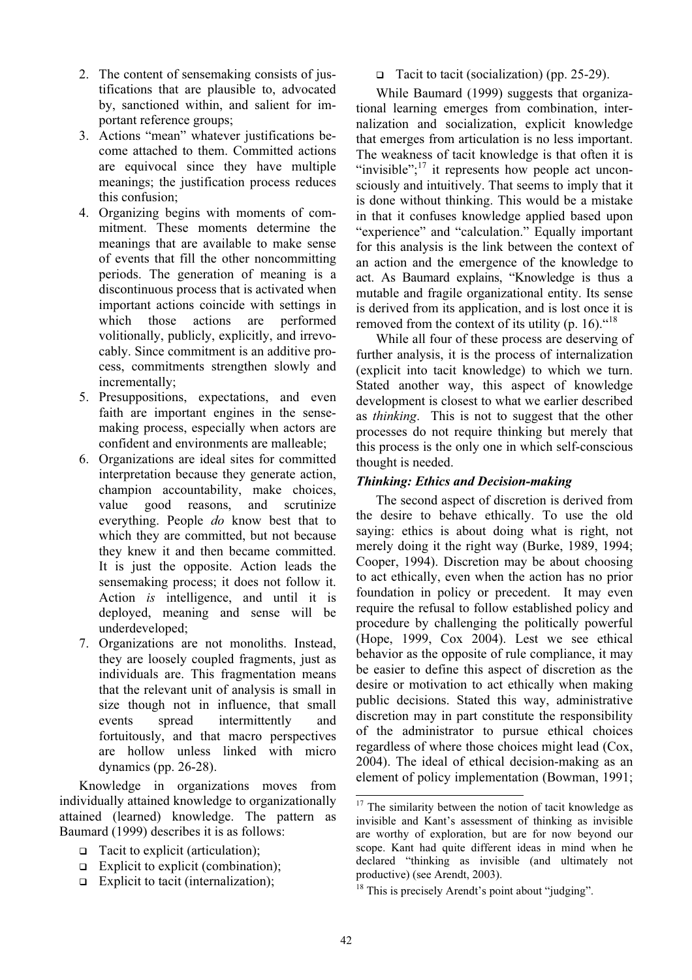- 2. The content of sensemaking consists of justifications that are plausible to, advocated by, sanctioned within, and salient for important reference groups;
- 3. Actions "mean" whatever justifications become attached to them. Committed actions are equivocal since they have multiple meanings; the justification process reduces this confusion;
- 4. Organizing begins with moments of commitment. These moments determine the meanings that are available to make sense of events that fill the other noncommitting periods. The generation of meaning is a discontinuous process that is activated when important actions coincide with settings in which those actions are performed volitionally, publicly, explicitly, and irrevocably. Since commitment is an additive process, commitments strengthen slowly and incrementally;
- 5. Presuppositions, expectations, and even faith are important engines in the sensemaking process, especially when actors are confident and environments are malleable;
- 6. Organizations are ideal sites for committed interpretation because they generate action, champion accountability, make choices, value good reasons, and scrutinize everything. People do know best that to which they are committed, but not because they knew it and then became committed. It is just the opposite. Action leads the sensemaking process; it does not follow it. Action is intelligence, and until it is deployed, meaning and sense will be underdeveloped;
- 7. Organizations are not monoliths. Instead, they are loosely coupled fragments, just as individuals are. This fragmentation means that the relevant unit of analysis is small in size though not in influence, that small events spread intermittently and fortuitously, and that macro perspectives are hollow unless linked with micro dynamics (pp. 26-28).

Knowledge in organizations moves from individually attained knowledge to organizationally attained (learned) knowledge. The pattern as Baumard (1999) describes it is as follows:

- Tacit to explicit (articulation);
- $\Box$  Explicit to explicit (combination);
- Explicit to tacit (internalization);

□ Tacit to tacit (socialization) (pp.  $25-29$ ).

While Baumard (1999) suggests that organizational learning emerges from combination, internalization and socialization, explicit knowledge that emerges from articulation is no less important. The weakness of tacit knowledge is that often it is "invisible"; $^{17}$  it represents how people act unconsciously and intuitively. That seems to imply that it is done without thinking. This would be a mistake in that it confuses knowledge applied based upon "experience" and "calculation." Equally important for this analysis is the link between the context of an action and the emergence of the knowledge to act. As Baumard explains, "Knowledge is thus a mutable and fragile organizational entity. Its sense is derived from its application, and is lost once it is removed from the context of its utility (p. 16). $48$ 

While all four of these process are deserving of further analysis, it is the process of internalization (explicit into tacit knowledge) to which we turn. Stated another way, this aspect of knowledge development is closest to what we earlier described as thinking. This is not to suggest that the other processes do not require thinking but merely that this process is the only one in which self-conscious thought is needed.

## Thinking: Ethics and Decision-making

The second aspect of discretion is derived from the desire to behave ethically. To use the old saying: ethics is about doing what is right, not merely doing it the right way (Burke, 1989, 1994; Cooper, 1994). Discretion may be about choosing to act ethically, even when the action has no prior foundation in policy or precedent. It may even require the refusal to follow established policy and procedure by challenging the politically powerful (Hope, 1999, Cox 2004). Lest we see ethical behavior as the opposite of rule compliance, it may be easier to define this aspect of discretion as the desire or motivation to act ethically when making public decisions. Stated this way, administrative discretion may in part constitute the responsibility of the administrator to pursue ethical choices regardless of where those choices might lead (Cox, 2004). The ideal of ethical decision-making as an element of policy implementation (Bowman, 1991;

j

 $17$  The similarity between the notion of tacit knowledge as invisible and Kant's assessment of thinking as invisible are worthy of exploration, but are for now beyond our scope. Kant had quite different ideas in mind when he declared "thinking as invisible (and ultimately not productive) (see Arendt, 2003).

 $18$  This is precisely Arendt's point about "judging".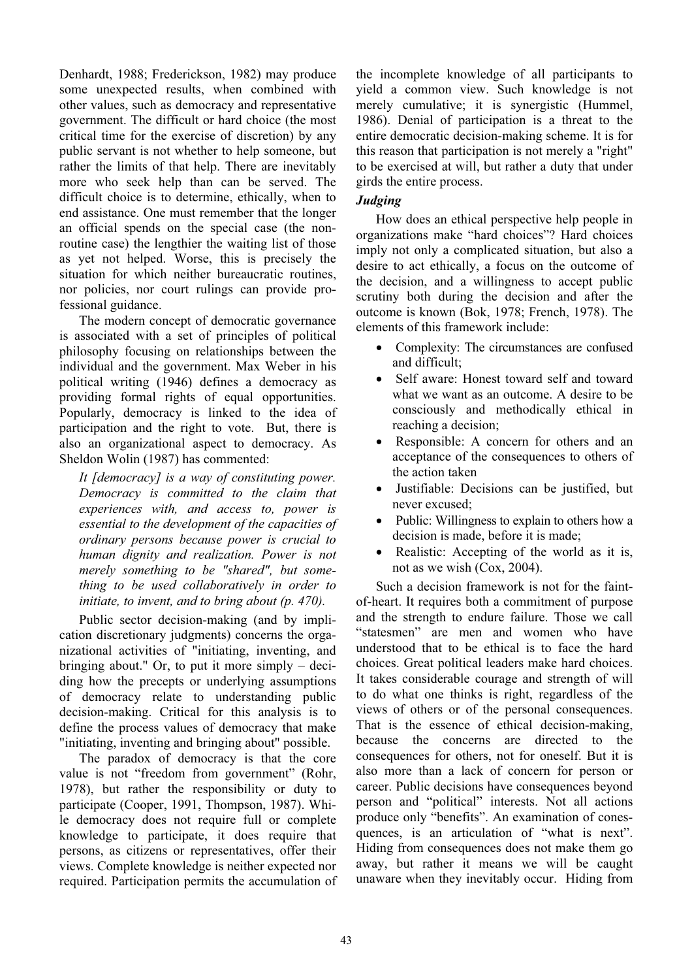Denhardt, 1988; Frederickson, 1982) may produce some unexpected results, when combined with other values, such as democracy and representative government. The difficult or hard choice (the most critical time for the exercise of discretion) by any public servant is not whether to help someone, but rather the limits of that help. There are inevitably more who seek help than can be served. The difficult choice is to determine, ethically, when to end assistance. One must remember that the longer an official spends on the special case (the nonroutine case) the lengthier the waiting list of those as yet not helped. Worse, this is precisely the situation for which neither bureaucratic routines, nor policies, nor court rulings can provide professional guidance.

The modern concept of democratic governance is associated with a set of principles of political philosophy focusing on relationships between the individual and the government. Max Weber in his political writing (1946) defines a democracy as providing formal rights of equal opportunities. Popularly, democracy is linked to the idea of participation and the right to vote. But, there is also an organizational aspect to democracy. As Sheldon Wolin (1987) has commented:

It [democracy] is a way of constituting power. Democracy is committed to the claim that experiences with, and access to, power is essential to the development of the capacities of ordinary persons because power is crucial to human dignity and realization. Power is not merely something to be "shared", but something to be used collaboratively in order to initiate, to invent, and to bring about (p. 470).

Public sector decision-making (and by implication discretionary judgments) concerns the organizational activities of "initiating, inventing, and bringing about." Or, to put it more simply – deciding how the precepts or underlying assumptions of democracy relate to understanding public decision-making. Critical for this analysis is to define the process values of democracy that make "initiating, inventing and bringing about" possible.

The paradox of democracy is that the core value is not "freedom from government" (Rohr, 1978), but rather the responsibility or duty to participate (Cooper, 1991, Thompson, 1987). While democracy does not require full or complete knowledge to participate, it does require that persons, as citizens or representatives, offer their views. Complete knowledge is neither expected nor required. Participation permits the accumulation of the incomplete knowledge of all participants to yield a common view. Such knowledge is not merely cumulative; it is synergistic (Hummel, 1986). Denial of participation is a threat to the entire democratic decision-making scheme. It is for this reason that participation is not merely a "right" to be exercised at will, but rather a duty that under girds the entire process.

# Judging

How does an ethical perspective help people in organizations make "hard choices"? Hard choices imply not only a complicated situation, but also a desire to act ethically, a focus on the outcome of the decision, and a willingness to accept public scrutiny both during the decision and after the outcome is known (Bok, 1978; French, 1978). The elements of this framework include:

- Complexity: The circumstances are confused and difficult;
- Self aware: Honest toward self and toward what we want as an outcome. A desire to be consciously and methodically ethical in reaching a decision;
- Responsible: A concern for others and an acceptance of the consequences to others of the action taken
- Justifiable: Decisions can be justified, but never excused;
- Public: Willingness to explain to others how a decision is made, before it is made;
- Realistic: Accepting of the world as it is, not as we wish (Cox, 2004).

Such a decision framework is not for the faintof-heart. It requires both a commitment of purpose and the strength to endure failure. Those we call "statesmen" are men and women who have understood that to be ethical is to face the hard choices. Great political leaders make hard choices. It takes considerable courage and strength of will to do what one thinks is right, regardless of the views of others or of the personal consequences. That is the essence of ethical decision-making, because the concerns are directed to the consequences for others, not for oneself. But it is also more than a lack of concern for person or career. Public decisions have consequences beyond person and "political" interests. Not all actions produce only "benefits". An examination of conesquences, is an articulation of "what is next". Hiding from consequences does not make them go away, but rather it means we will be caught unaware when they inevitably occur. Hiding from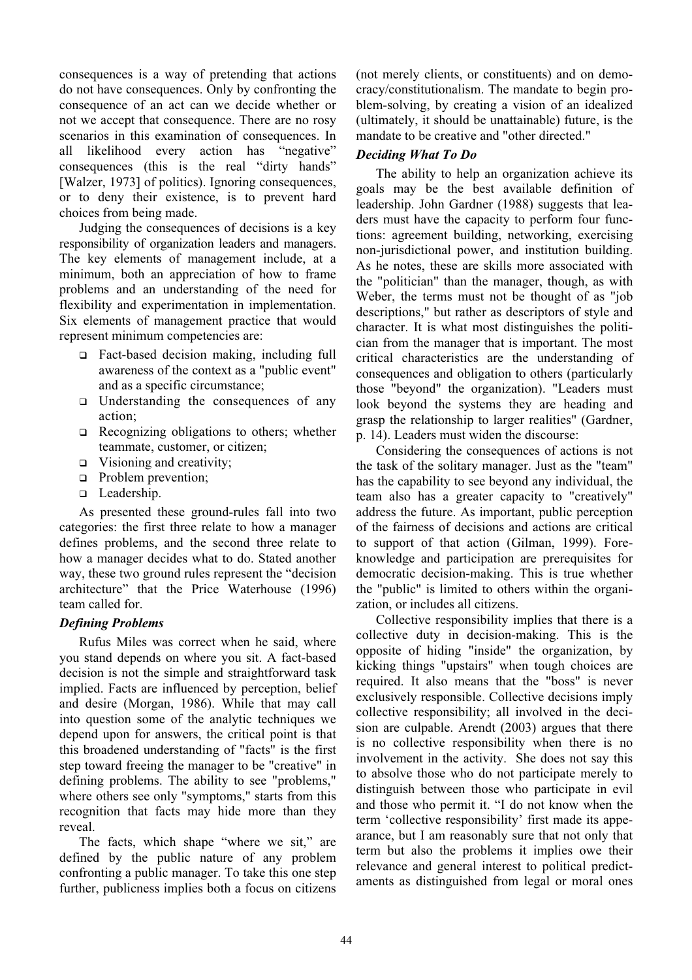consequences is a way of pretending that actions do not have consequences. Only by confronting the consequence of an act can we decide whether or not we accept that consequence. There are no rosy scenarios in this examination of consequences. In all likelihood every action has "negative" consequences (this is the real "dirty hands" [Walzer, 1973] of politics). Ignoring consequences, or to deny their existence, is to prevent hard choices from being made.

Judging the consequences of decisions is a key responsibility of organization leaders and managers. The key elements of management include, at a minimum, both an appreciation of how to frame problems and an understanding of the need for flexibility and experimentation in implementation. Six elements of management practice that would represent minimum competencies are:

- Fact-based decision making, including full awareness of the context as a "public event" and as a specific circumstance;
- $\Box$  Understanding the consequences of any action;
- $\Box$  Recognizing obligations to others; whether teammate, customer, or citizen;
- $\Box$  Visioning and creativity;
- **Problem prevention;**
- □ Leadership.

As presented these ground-rules fall into two categories: the first three relate to how a manager defines problems, and the second three relate to how a manager decides what to do. Stated another way, these two ground rules represent the "decision architecture" that the Price Waterhouse (1996) team called for.

## Defining Problems

Rufus Miles was correct when he said, where you stand depends on where you sit. A fact-based decision is not the simple and straightforward task implied. Facts are influenced by perception, belief and desire (Morgan, 1986). While that may call into question some of the analytic techniques we depend upon for answers, the critical point is that this broadened understanding of "facts" is the first step toward freeing the manager to be "creative" in defining problems. The ability to see "problems," where others see only "symptoms," starts from this recognition that facts may hide more than they reveal.

The facts, which shape "where we sit," are defined by the public nature of any problem confronting a public manager. To take this one step further, publicness implies both a focus on citizens (not merely clients, or constituents) and on democracy/constitutionalism. The mandate to begin problem-solving, by creating a vision of an idealized (ultimately, it should be unattainable) future, is the mandate to be creative and "other directed."

# Deciding What To Do

The ability to help an organization achieve its goals may be the best available definition of leadership. John Gardner (1988) suggests that leaders must have the capacity to perform four functions: agreement building, networking, exercising non-jurisdictional power, and institution building. As he notes, these are skills more associated with the "politician" than the manager, though, as with Weber, the terms must not be thought of as "job descriptions," but rather as descriptors of style and character. It is what most distinguishes the politician from the manager that is important. The most critical characteristics are the understanding of consequences and obligation to others (particularly those "beyond" the organization). "Leaders must look beyond the systems they are heading and grasp the relationship to larger realities" (Gardner, p. 14). Leaders must widen the discourse:

Considering the consequences of actions is not the task of the solitary manager. Just as the "team" has the capability to see beyond any individual, the team also has a greater capacity to "creatively" address the future. As important, public perception of the fairness of decisions and actions are critical to support of that action (Gilman, 1999). Foreknowledge and participation are prerequisites for democratic decision-making. This is true whether the "public" is limited to others within the organization, or includes all citizens.

Collective responsibility implies that there is a collective duty in decision-making. This is the opposite of hiding "inside" the organization, by kicking things "upstairs" when tough choices are required. It also means that the "boss" is never exclusively responsible. Collective decisions imply collective responsibility; all involved in the decision are culpable. Arendt (2003) argues that there is no collective responsibility when there is no involvement in the activity. She does not say this to absolve those who do not participate merely to distinguish between those who participate in evil and those who permit it. "I do not know when the term 'collective responsibility' first made its appearance, but I am reasonably sure that not only that term but also the problems it implies owe their relevance and general interest to political predictaments as distinguished from legal or moral ones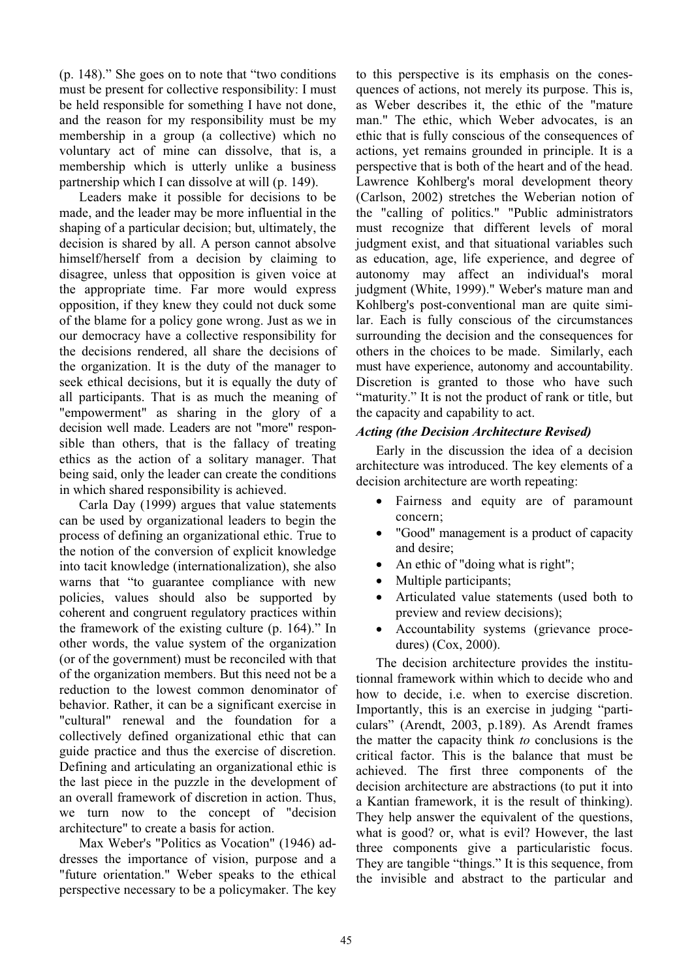(p. 148)." She goes on to note that "two conditions must be present for collective responsibility: I must be held responsible for something I have not done, and the reason for my responsibility must be my membership in a group (a collective) which no voluntary act of mine can dissolve, that is, a membership which is utterly unlike a business partnership which I can dissolve at will (p. 149).

Leaders make it possible for decisions to be made, and the leader may be more influential in the shaping of a particular decision; but, ultimately, the decision is shared by all. A person cannot absolve himself/herself from a decision by claiming to disagree, unless that opposition is given voice at the appropriate time. Far more would express opposition, if they knew they could not duck some of the blame for a policy gone wrong. Just as we in our democracy have a collective responsibility for the decisions rendered, all share the decisions of the organization. It is the duty of the manager to seek ethical decisions, but it is equally the duty of all participants. That is as much the meaning of "empowerment" as sharing in the glory of a decision well made. Leaders are not "more" responsible than others, that is the fallacy of treating ethics as the action of a solitary manager. That being said, only the leader can create the conditions in which shared responsibility is achieved.

Carla Day (1999) argues that value statements can be used by organizational leaders to begin the process of defining an organizational ethic. True to the notion of the conversion of explicit knowledge into tacit knowledge (internationalization), she also warns that "to guarantee compliance with new policies, values should also be supported by coherent and congruent regulatory practices within the framework of the existing culture (p. 164)." In other words, the value system of the organization (or of the government) must be reconciled with that of the organization members. But this need not be a reduction to the lowest common denominator of behavior. Rather, it can be a significant exercise in "cultural" renewal and the foundation for a collectively defined organizational ethic that can guide practice and thus the exercise of discretion. Defining and articulating an organizational ethic is the last piece in the puzzle in the development of an overall framework of discretion in action. Thus, we turn now to the concept of "decision architecture" to create a basis for action.

Max Weber's "Politics as Vocation" (1946) addresses the importance of vision, purpose and a "future orientation." Weber speaks to the ethical perspective necessary to be a policymaker. The key to this perspective is its emphasis on the conesquences of actions, not merely its purpose. This is, as Weber describes it, the ethic of the "mature man." The ethic, which Weber advocates, is an ethic that is fully conscious of the consequences of actions, yet remains grounded in principle. It is a perspective that is both of the heart and of the head. Lawrence Kohlberg's moral development theory (Carlson, 2002) stretches the Weberian notion of the "calling of politics." "Public administrators must recognize that different levels of moral judgment exist, and that situational variables such as education, age, life experience, and degree of autonomy may affect an individual's moral judgment (White, 1999)." Weber's mature man and Kohlberg's post-conventional man are quite similar. Each is fully conscious of the circumstances surrounding the decision and the consequences for others in the choices to be made. Similarly, each must have experience, autonomy and accountability. Discretion is granted to those who have such "maturity." It is not the product of rank or title, but the capacity and capability to act.

#### Acting (the Decision Architecture Revised)

Early in the discussion the idea of a decision architecture was introduced. The key elements of a decision architecture are worth repeating:

- Fairness and equity are of paramount concern;
- "Good" management is a product of capacity and desire;
- An ethic of "doing what is right";
- Multiple participants;
- Articulated value statements (used both to preview and review decisions);
- Accountability systems (grievance procedures) (Cox, 2000).

The decision architecture provides the institutionnal framework within which to decide who and how to decide, i.e. when to exercise discretion. Importantly, this is an exercise in judging "particulars" (Arendt, 2003, p.189). As Arendt frames the matter the capacity think to conclusions is the critical factor. This is the balance that must be achieved. The first three components of the decision architecture are abstractions (to put it into a Kantian framework, it is the result of thinking). They help answer the equivalent of the questions, what is good? or, what is evil? However, the last three components give a particularistic focus. They are tangible "things." It is this sequence, from the invisible and abstract to the particular and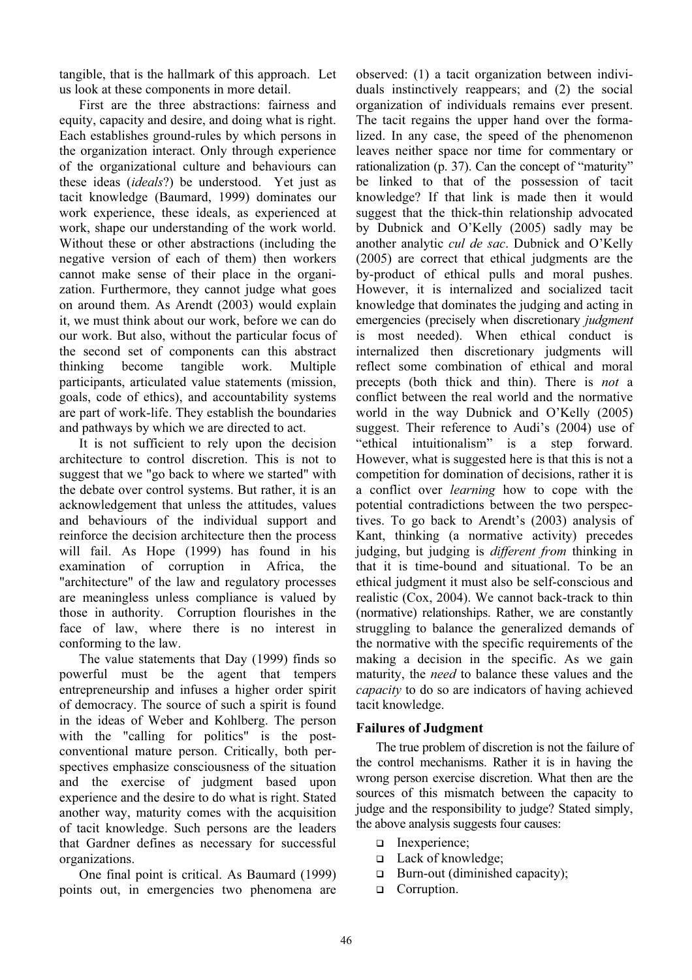tangible, that is the hallmark of this approach. Let us look at these components in more detail.

First are the three abstractions: fairness and equity, capacity and desire, and doing what is right. Each establishes ground-rules by which persons in the organization interact. Only through experience of the organizational culture and behaviours can these ideas (ideals?) be understood. Yet just as tacit knowledge (Baumard, 1999) dominates our work experience, these ideals, as experienced at work, shape our understanding of the work world. Without these or other abstractions (including the negative version of each of them) then workers cannot make sense of their place in the organization. Furthermore, they cannot judge what goes on around them. As Arendt (2003) would explain it, we must think about our work, before we can do our work. But also, without the particular focus of the second set of components can this abstract thinking become tangible work. Multiple participants, articulated value statements (mission, goals, code of ethics), and accountability systems are part of work-life. They establish the boundaries and pathways by which we are directed to act.

It is not sufficient to rely upon the decision architecture to control discretion. This is not to suggest that we "go back to where we started" with the debate over control systems. But rather, it is an acknowledgement that unless the attitudes, values and behaviours of the individual support and reinforce the decision architecture then the process will fail. As Hope (1999) has found in his examination of corruption in Africa, the "architecture" of the law and regulatory processes are meaningless unless compliance is valued by those in authority. Corruption flourishes in the face of law, where there is no interest in conforming to the law.

The value statements that Day (1999) finds so powerful must be the agent that tempers entrepreneurship and infuses a higher order spirit of democracy. The source of such a spirit is found in the ideas of Weber and Kohlberg. The person with the "calling for politics" is the postconventional mature person. Critically, both perspectives emphasize consciousness of the situation and the exercise of judgment based upon experience and the desire to do what is right. Stated another way, maturity comes with the acquisition of tacit knowledge. Such persons are the leaders that Gardner defines as necessary for successful organizations.

One final point is critical. As Baumard (1999) points out, in emergencies two phenomena are observed: (1) a tacit organization between individuals instinctively reappears; and (2) the social organization of individuals remains ever present. The tacit regains the upper hand over the formalized. In any case, the speed of the phenomenon leaves neither space nor time for commentary or rationalization (p. 37). Can the concept of "maturity" be linked to that of the possession of tacit knowledge? If that link is made then it would suggest that the thick-thin relationship advocated by Dubnick and O'Kelly (2005) sadly may be another analytic cul de sac. Dubnick and O'Kelly (2005) are correct that ethical judgments are the by-product of ethical pulls and moral pushes. However, it is internalized and socialized tacit knowledge that dominates the judging and acting in emergencies (precisely when discretionary *judgment* is most needed). When ethical conduct is internalized then discretionary judgments will reflect some combination of ethical and moral precepts (both thick and thin). There is not a conflict between the real world and the normative world in the way Dubnick and O'Kelly (2005) suggest. Their reference to Audi's (2004) use of "ethical intuitionalism" is a step forward. However, what is suggested here is that this is not a competition for domination of decisions, rather it is a conflict over learning how to cope with the potential contradictions between the two perspectives. To go back to Arendt's (2003) analysis of Kant, thinking (a normative activity) precedes judging, but judging is *different from* thinking in that it is time-bound and situational. To be an ethical judgment it must also be self-conscious and realistic (Cox, 2004). We cannot back-track to thin (normative) relationships. Rather, we are constantly struggling to balance the generalized demands of the normative with the specific requirements of the making a decision in the specific. As we gain maturity, the need to balance these values and the capacity to do so are indicators of having achieved tacit knowledge.

## Failures of Judgment

The true problem of discretion is not the failure of the control mechanisms. Rather it is in having the wrong person exercise discretion. What then are the sources of this mismatch between the capacity to judge and the responsibility to judge? Stated simply, the above analysis suggests four causes:

- Inexperience;
- □ Lack of knowledge;
- $\Box$  Burn-out (diminished capacity);
- □ Corruption.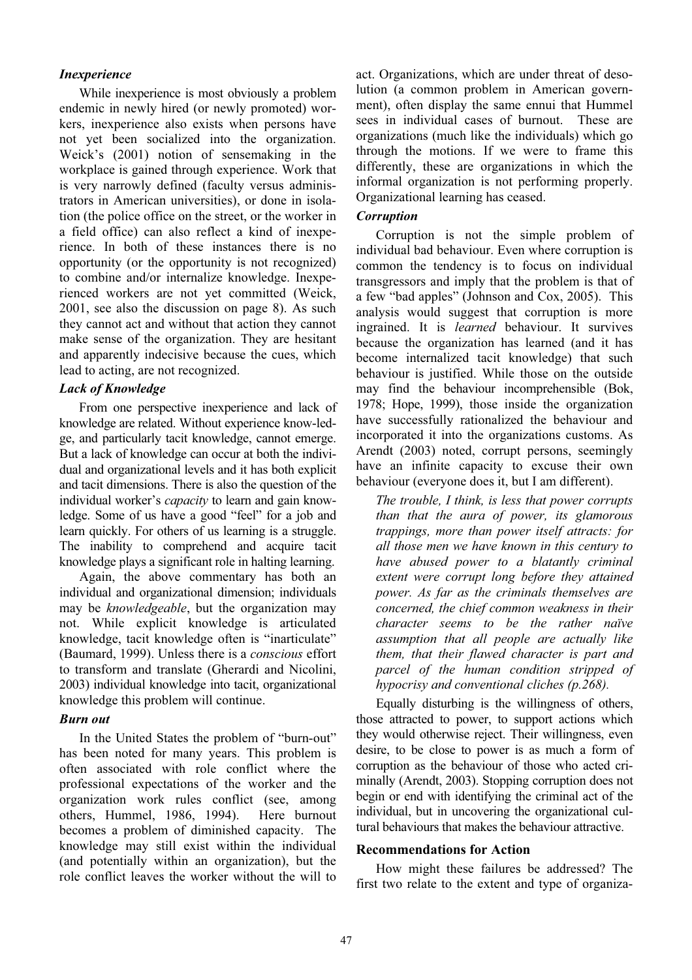#### Inexperience

While inexperience is most obviously a problem endemic in newly hired (or newly promoted) workers, inexperience also exists when persons have not yet been socialized into the organization. Weick's (2001) notion of sensemaking in the workplace is gained through experience. Work that is very narrowly defined (faculty versus administrators in American universities), or done in isolation (the police office on the street, or the worker in a field office) can also reflect a kind of inexperience. In both of these instances there is no opportunity (or the opportunity is not recognized) to combine and/or internalize knowledge. Inexperienced workers are not yet committed (Weick, 2001, see also the discussion on page 8). As such they cannot act and without that action they cannot make sense of the organization. They are hesitant and apparently indecisive because the cues, which lead to acting, are not recognized.

### Lack of Knowledge

From one perspective inexperience and lack of knowledge are related. Without experience know-ledge, and particularly tacit knowledge, cannot emerge. But a lack of knowledge can occur at both the individual and organizational levels and it has both explicit and tacit dimensions. There is also the question of the individual worker's *capacity* to learn and gain knowledge. Some of us have a good "feel" for a job and learn quickly. For others of us learning is a struggle. The inability to comprehend and acquire tacit knowledge plays a significant role in halting learning.

Again, the above commentary has both an individual and organizational dimension; individuals may be knowledgeable, but the organization may not. While explicit knowledge is articulated knowledge, tacit knowledge often is "inarticulate" (Baumard, 1999). Unless there is a conscious effort to transform and translate (Gherardi and Nicolini, 2003) individual knowledge into tacit, organizational knowledge this problem will continue.

#### Burn out

In the United States the problem of "burn-out" has been noted for many years. This problem is often associated with role conflict where the professional expectations of the worker and the organization work rules conflict (see, among others, Hummel, 1986, 1994). Here burnout becomes a problem of diminished capacity. The knowledge may still exist within the individual (and potentially within an organization), but the role conflict leaves the worker without the will to act. Organizations, which are under threat of desolution (a common problem in American government), often display the same ennui that Hummel sees in individual cases of burnout. These are organizations (much like the individuals) which go through the motions. If we were to frame this differently, these are organizations in which the informal organization is not performing properly. Organizational learning has ceased.

## Corruption

Corruption is not the simple problem of individual bad behaviour. Even where corruption is common the tendency is to focus on individual transgressors and imply that the problem is that of a few "bad apples" (Johnson and Cox, 2005). This analysis would suggest that corruption is more ingrained. It is learned behaviour. It survives because the organization has learned (and it has become internalized tacit knowledge) that such behaviour is justified. While those on the outside may find the behaviour incomprehensible (Bok, 1978; Hope, 1999), those inside the organization have successfully rationalized the behaviour and incorporated it into the organizations customs. As Arendt (2003) noted, corrupt persons, seemingly have an infinite capacity to excuse their own behaviour (everyone does it, but I am different).

The trouble, I think, is less that power corrupts than that the aura of power, its glamorous trappings, more than power itself attracts: for all those men we have known in this century to have abused power to a blatantly criminal extent were corrupt long before they attained power. As far as the criminals themselves are concerned, the chief common weakness in their character seems to be the rather naïve assumption that all people are actually like them, that their flawed character is part and parcel of the human condition stripped of hypocrisy and conventional cliches (p.268).

Equally disturbing is the willingness of others, those attracted to power, to support actions which they would otherwise reject. Their willingness, even desire, to be close to power is as much a form of corruption as the behaviour of those who acted criminally (Arendt, 2003). Stopping corruption does not begin or end with identifying the criminal act of the individual, but in uncovering the organizational cultural behaviours that makes the behaviour attractive.

## Recommendations for Action

How might these failures be addressed? The first two relate to the extent and type of organiza-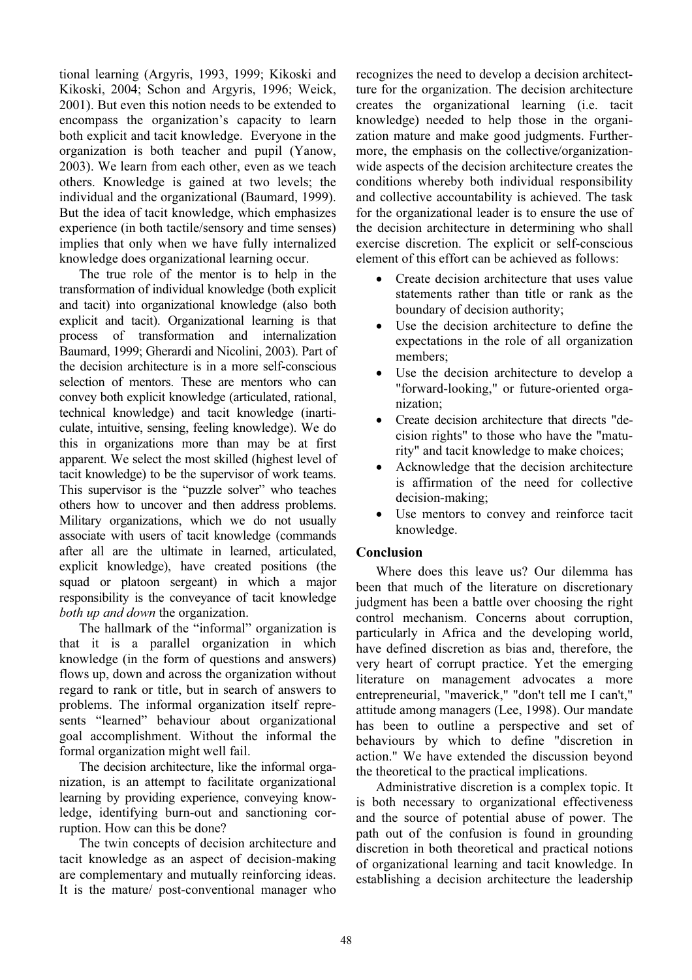tional learning (Argyris, 1993, 1999; Kikoski and Kikoski, 2004; Schon and Argyris, 1996; Weick, 2001). But even this notion needs to be extended to encompass the organization's capacity to learn both explicit and tacit knowledge. Everyone in the organization is both teacher and pupil (Yanow, 2003). We learn from each other, even as we teach others. Knowledge is gained at two levels; the individual and the organizational (Baumard, 1999). But the idea of tacit knowledge, which emphasizes experience (in both tactile/sensory and time senses) implies that only when we have fully internalized knowledge does organizational learning occur.

The true role of the mentor is to help in the transformation of individual knowledge (both explicit and tacit) into organizational knowledge (also both explicit and tacit). Organizational learning is that process of transformation and internalization Baumard, 1999; Gherardi and Nicolini, 2003). Part of the decision architecture is in a more self-conscious selection of mentors. These are mentors who can convey both explicit knowledge (articulated, rational, technical knowledge) and tacit knowledge (inarticulate, intuitive, sensing, feeling knowledge). We do this in organizations more than may be at first apparent. We select the most skilled (highest level of tacit knowledge) to be the supervisor of work teams. This supervisor is the "puzzle solver" who teaches others how to uncover and then address problems. Military organizations, which we do not usually associate with users of tacit knowledge (commands after all are the ultimate in learned, articulated, explicit knowledge), have created positions (the squad or platoon sergeant) in which a major responsibility is the conveyance of tacit knowledge both up and down the organization.

The hallmark of the "informal" organization is that it is a parallel organization in which knowledge (in the form of questions and answers) flows up, down and across the organization without regard to rank or title, but in search of answers to problems. The informal organization itself represents "learned" behaviour about organizational goal accomplishment. Without the informal the formal organization might well fail.

The decision architecture, like the informal organization, is an attempt to facilitate organizational learning by providing experience, conveying knowledge, identifying burn-out and sanctioning corruption. How can this be done?

The twin concepts of decision architecture and tacit knowledge as an aspect of decision-making are complementary and mutually reinforcing ideas. It is the mature/ post-conventional manager who recognizes the need to develop a decision architectture for the organization. The decision architecture creates the organizational learning (i.e. tacit knowledge) needed to help those in the organization mature and make good judgments. Furthermore, the emphasis on the collective/organizationwide aspects of the decision architecture creates the conditions whereby both individual responsibility and collective accountability is achieved. The task for the organizational leader is to ensure the use of the decision architecture in determining who shall exercise discretion. The explicit or self-conscious element of this effort can be achieved as follows:

- Create decision architecture that uses value statements rather than title or rank as the boundary of decision authority;
- Use the decision architecture to define the expectations in the role of all organization members;
- Use the decision architecture to develop a "forward-looking," or future-oriented organization;
- Create decision architecture that directs "decision rights" to those who have the "maturity" and tacit knowledge to make choices;
- Acknowledge that the decision architecture is affirmation of the need for collective decision-making;
- Use mentors to convey and reinforce tacit knowledge.

## Conclusion

Where does this leave us? Our dilemma has been that much of the literature on discretionary judgment has been a battle over choosing the right control mechanism. Concerns about corruption, particularly in Africa and the developing world, have defined discretion as bias and, therefore, the very heart of corrupt practice. Yet the emerging literature on management advocates a more entrepreneurial, "maverick," "don't tell me I can't," attitude among managers (Lee, 1998). Our mandate has been to outline a perspective and set of behaviours by which to define "discretion in action." We have extended the discussion beyond the theoretical to the practical implications.

Administrative discretion is a complex topic. It is both necessary to organizational effectiveness and the source of potential abuse of power. The path out of the confusion is found in grounding discretion in both theoretical and practical notions of organizational learning and tacit knowledge. In establishing a decision architecture the leadership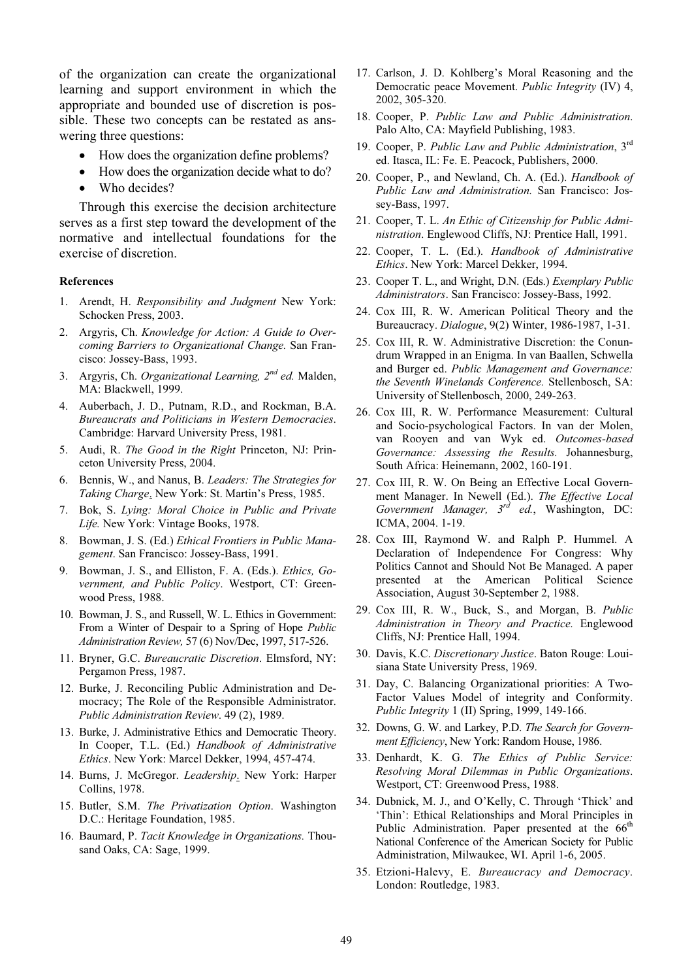of the organization can create the organizational learning and support environment in which the appropriate and bounded use of discretion is possible. These two concepts can be restated as answering three questions:

- How does the organization define problems?
- How does the organization decide what to do?
- Who decides?

Through this exercise the decision architecture serves as a first step toward the development of the normative and intellectual foundations for the exercise of discretion.

#### References

- 1. Arendt, H. Responsibility and Judgment New York: Schocken Press, 2003.
- 2. Argyris, Ch. Knowledge for Action: A Guide to Overcoming Barriers to Organizational Change. San Francisco: Jossey-Bass, 1993.
- 3. Argyris, Ch. Organizational Learning,  $2^{nd}$  ed. Malden, MA: Blackwell, 1999.
- 4. Auberbach, J. D., Putnam, R.D., and Rockman, B.A. Bureaucrats and Politicians in Western Democracies. Cambridge: Harvard University Press, 1981.
- 5. Audi, R. The Good in the Right Princeton, NJ: Princeton University Press, 2004.
- 6. Bennis, W., and Nanus, B. Leaders: The Strategies for Taking Charge. New York: St. Martin's Press, 1985.
- 7. Bok, S. Lying: Moral Choice in Public and Private Life. New York: Vintage Books, 1978.
- 8. Bowman, J. S. (Ed.) Ethical Frontiers in Public Management. San Francisco: Jossey-Bass, 1991.
- 9. Bowman, J. S., and Elliston, F. A. (Eds.). Ethics, Government, and Public Policy. Westport, CT: Greenwood Press, 1988.
- 10. Bowman, J. S., and Russell, W. L. Ethics in Government: From a Winter of Despair to a Spring of Hope Public Administration Review, 57 (6) Nov/Dec, 1997, 517-526.
- 11. Bryner, G.C. Bureaucratic Discretion. Elmsford, NY: Pergamon Press, 1987.
- 12. Burke, J. Reconciling Public Administration and Democracy; The Role of the Responsible Administrator. Public Administration Review. 49 (2), 1989.
- 13. Burke, J. Administrative Ethics and Democratic Theory. In Cooper, T.L. (Ed.) Handbook of Administrative Ethics. New York: Marcel Dekker, 1994, 457-474.
- 14. Burns, J. McGregor. Leadership. New York: Harper Collins, 1978.
- 15. Butler, S.M. The Privatization Option. Washington D.C.: Heritage Foundation, 1985.
- 16. Baumard, P. Tacit Knowledge in Organizations. Thousand Oaks, CA: Sage, 1999.
- 17. Carlson, J. D. Kohlberg's Moral Reasoning and the Democratic peace Movement. Public Integrity (IV) 4, 2002, 305-320.
- 18. Cooper, P. Public Law and Public Administration. Palo Alto, CA: Mayfield Publishing, 1983.
- 19. Cooper, P. Public Law and Public Administration, 3rd ed. Itasca, IL: Fe. E. Peacock, Publishers, 2000.
- 20. Cooper, P., and Newland, Ch. A. (Ed.). Handbook of Public Law and Administration. San Francisco: Jossey-Bass, 1997.
- 21. Cooper, T. L. An Ethic of Citizenship for Public Administration. Englewood Cliffs, NJ: Prentice Hall, 1991.
- 22. Cooper, T. L. (Ed.). Handbook of Administrative Ethics. New York: Marcel Dekker, 1994.
- 23. Cooper T. L., and Wright, D.N. (Eds.) Exemplary Public Administrators. San Francisco: Jossey-Bass, 1992.
- 24. Cox III, R. W. American Political Theory and the Bureaucracy. Dialogue, 9(2) Winter, 1986-1987, 1-31.
- 25. Cox III, R. W. Administrative Discretion: the Conundrum Wrapped in an Enigma. In van Baallen, Schwella and Burger ed. Public Management and Governance: the Seventh Winelands Conference. Stellenbosch, SA: University of Stellenbosch, 2000, 249-263.
- 26. Cox III, R. W. Performance Measurement: Cultural and Socio-psychological Factors. In van der Molen, van Rooyen and van Wyk ed. Outcomes-based Governance: Assessing the Results. Johannesburg, South Africa: Heinemann, 2002, 160-191.
- 27. Cox III, R. W. On Being an Effective Local Government Manager. In Newell (Ed.). The Effective Local Government Manager,  $3^{rd}$  ed., Washington, DC: ICMA, 2004. 1-19.
- 28. Cox III, Raymond W. and Ralph P. Hummel. A Declaration of Independence For Congress: Why Politics Cannot and Should Not Be Managed. A paper presented at the American Political Science Association, August 30-September 2, 1988.
- 29. Cox III, R. W., Buck, S., and Morgan, B. Public Administration in Theory and Practice. Englewood Cliffs, NJ: Prentice Hall, 1994.
- 30. Davis, K.C. Discretionary Justice. Baton Rouge: Louisiana State University Press, 1969.
- 31. Day, C. Balancing Organizational priorities: A Two-Factor Values Model of integrity and Conformity. Public Integrity 1 (II) Spring, 1999, 149-166.
- 32. Downs, G. W. and Larkey, P.D. The Search for Government Efficiency, New York: Random House, 1986.
- 33. Denhardt, K. G. The Ethics of Public Service: Resolving Moral Dilemmas in Public Organizations. Westport, CT: Greenwood Press, 1988.
- 34. Dubnick, M. J., and O'Kelly, C. Through 'Thick' and 'Thin': Ethical Relationships and Moral Principles in Public Administration. Paper presented at the 66<sup>th</sup> National Conference of the American Society for Public Administration, Milwaukee, WI. April 1-6, 2005.
- 35. Etzioni-Halevy, E. Bureaucracy and Democracy. London: Routledge, 1983.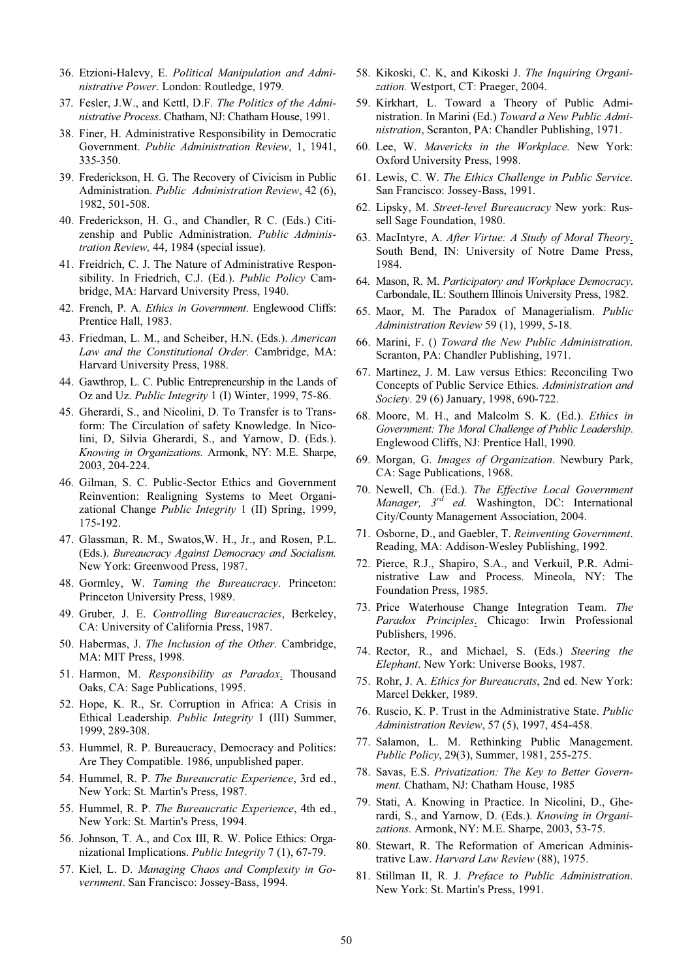- 36. Etzioni-Halevy, E. Political Manipulation and Administrative Power. London: Routledge, 1979.
- 37. Fesler, J.W., and Kettl, D.F. The Politics of the Administrative Process. Chatham, NJ: Chatham House, 1991.
- 38. Finer, H. Administrative Responsibility in Democratic Government. Public Administration Review, 1, 1941, 335-350.
- 39. Frederickson, H. G. The Recovery of Civicism in Public Administration. Public Administration Review, 42 (6), 1982, 501-508.
- 40. Frederickson, H. G., and Chandler, R C. (Eds.) Citizenship and Public Administration. Public Administration Review, 44, 1984 (special issue).
- 41. Freidrich, C. J. The Nature of Administrative Responsibility. In Friedrich, C.J. (Ed.). Public Policy Cambridge, MA: Harvard University Press, 1940.
- 42. French, P. A. Ethics in Government. Englewood Cliffs: Prentice Hall, 1983.
- 43. Friedman, L. M., and Scheiber, H.N. (Eds.). American Law and the Constitutional Order. Cambridge, MA: Harvard University Press, 1988.
- 44. Gawthrop, L. C. Public Entrepreneurship in the Lands of Oz and Uz. Public Integrity 1 (I) Winter, 1999, 75-86.
- 45. Gherardi, S., and Nicolini, D. To Transfer is to Transform: The Circulation of safety Knowledge. In Nicolini, D, Silvia Gherardi, S., and Yarnow, D. (Eds.). Knowing in Organizations. Armonk, NY: M.E. Sharpe, 2003, 204-224.
- 46. Gilman, S. C. Public-Sector Ethics and Government Reinvention: Realigning Systems to Meet Organizational Change Public Integrity 1 (II) Spring, 1999, 175-192.
- 47. Glassman, R. M., Swatos,W. H., Jr., and Rosen, P.L. (Eds.). Bureaucracy Against Democracy and Socialism. New York: Greenwood Press, 1987.
- 48. Gormley, W. Taming the Bureaucracy. Princeton: Princeton University Press, 1989.
- 49. Gruber, J. E. Controlling Bureaucracies, Berkeley, CA: University of California Press, 1987.
- 50. Habermas, J. The Inclusion of the Other. Cambridge, MA: MIT Press, 1998.
- 51. Harmon, M. Responsibility as Paradox. Thousand Oaks, CA: Sage Publications, 1995.
- 52. Hope, K. R., Sr. Corruption in Africa: A Crisis in Ethical Leadership. Public Integrity 1 (III) Summer, 1999, 289-308.
- 53. Hummel, R. P. Bureaucracy, Democracy and Politics: Are They Compatible. 1986, unpublished paper.
- 54. Hummel, R. P. The Bureaucratic Experience, 3rd ed., New York: St. Martin's Press, 1987.
- 55. Hummel, R. P. The Bureaucratic Experience, 4th ed., New York: St. Martin's Press, 1994.
- 56. Johnson, T. A., and Cox III, R. W. Police Ethics: Organizational Implications. Public Integrity 7 (1), 67-79.
- 57. Kiel, L. D. Managing Chaos and Complexity in Government. San Francisco: Jossey-Bass, 1994.
- 58. Kikoski, C. K, and Kikoski J. The Inquiring Organization. Westport, CT: Praeger, 2004.
- 59. Kirkhart, L. Toward a Theory of Public Administration. In Marini (Ed.) Toward a New Public Administration, Scranton, PA: Chandler Publishing, 1971.
- 60. Lee, W. Mavericks in the Workplace. New York: Oxford University Press, 1998.
- 61. Lewis, C. W. The Ethics Challenge in Public Service. San Francisco: Jossey-Bass, 1991.
- 62. Lipsky, M. Street-level Bureaucracy New york: Russell Sage Foundation, 1980.
- 63. MacIntyre, A. After Virtue: A Study of Moral Theory. South Bend, IN: University of Notre Dame Press, 1984.
- 64. Mason, R. M. Participatory and Workplace Democracy. Carbondale, IL: Southern Illinois University Press, 1982.
- 65. Maor, M. The Paradox of Managerialism. Public Administration Review 59 (1), 1999, 5-18.
- 66. Marini, F. () Toward the New Public Administration. Scranton, PA: Chandler Publishing, 1971.
- 67. Martinez, J. M. Law versus Ethics: Reconciling Two Concepts of Public Service Ethics. Administration and Society. 29 (6) January, 1998, 690-722.
- 68. Moore, M. H., and Malcolm S. K. (Ed.). Ethics in Government: The Moral Challenge of Public Leadership. Englewood Cliffs, NJ: Prentice Hall, 1990.
- 69. Morgan, G. Images of Organization. Newbury Park, CA: Sage Publications, 1968.
- 70. Newell, Ch. (Ed.). The Effective Local Government Manager,  $3^{rd}$  ed. Washington, DC: International City/County Management Association, 2004.
- 71. Osborne, D., and Gaebler, T. Reinventing Government. Reading, MA: Addison-Wesley Publishing, 1992.
- 72. Pierce, R.J., Shapiro, S.A., and Verkuil, P.R. Administrative Law and Process. Mineola, NY: The Foundation Press, 1985.
- 73. Price Waterhouse Change Integration Team. The Paradox Principles. Chicago: Irwin Professional Publishers, 1996.
- 74. Rector, R., and Michael, S. (Eds.) Steering the Elephant. New York: Universe Books, 1987.
- 75. Rohr, J. A. Ethics for Bureaucrats, 2nd ed. New York: Marcel Dekker, 1989.
- 76. Ruscio, K. P. Trust in the Administrative State. Public Administration Review, 57 (5), 1997, 454-458.
- 77. Salamon, L. M. Rethinking Public Management. Public Policy, 29(3), Summer, 1981, 255-275.
- 78. Savas, E.S. Privatization: The Key to Better Government. Chatham, NJ: Chatham House, 1985
- 79. Stati, A. Knowing in Practice. In Nicolini, D., Gherardi, S., and Yarnow, D. (Eds.). Knowing in Organizations. Armonk, NY: M.E. Sharpe, 2003, 53-75.
- 80. Stewart, R. The Reformation of American Administrative Law. Harvard Law Review (88), 1975.
- 81. Stillman II, R. J. Preface to Public Administration. New York: St. Martin's Press, 1991.